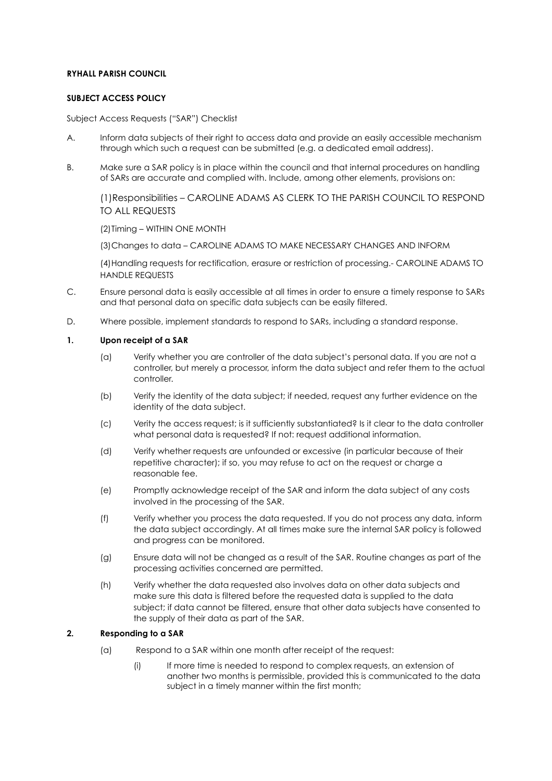## **RYHALL PARISH COUNCIL**

## **SUBJECT ACCESS POLICY**

Subject Access Requests ("SAR") Checklist

- A. Inform data subjects of their right to access data and provide an easily accessible mechanism through which such a request can be submitted (e.g. a dedicated email address).
- B. Make sure a SAR policy is in place within the council and that internal procedures on handling of SARs are accurate and complied with. Include, among other elements, provisions on:

(1)Responsibilities – CAROLINE ADAMS AS CLERK TO THE PARISH COUNCIL TO RESPOND TO ALL REQUESTS

(2)Timing – WITHIN ONE MONTH

(3)Changes to data – CAROLINE ADAMS TO MAKE NECESSARY CHANGES AND INFORM

(4)Handling requests for rectification, erasure or restriction of processing.- CAROLINE ADAMS TO HANDLE REQUESTS

- C. Ensure personal data is easily accessible at all times in order to ensure a timely response to SARs and that personal data on specific data subjects can be easily filtered.
- D. Where possible, implement standards to respond to SARs, including a standard response.

## **1. Upon receipt of a SAR**

- (a) Verify whether you are controller of the data subject's personal data. If you are not a controller, but merely a processor, inform the data subject and refer them to the actual controller.
- (b) Verify the identity of the data subject; if needed, request any further evidence on the identity of the data subject.
- (c) Verity the access request; is it sufficiently substantiated? Is it clear to the data controller what personal data is requested? If not: request additional information.
- (d) Verify whether requests are unfounded or excessive (in particular because of their repetitive character); if so, you may refuse to act on the request or charge a reasonable fee.
- (e) Promptly acknowledge receipt of the SAR and inform the data subject of any costs involved in the processing of the SAR.
- (f) Verify whether you process the data requested. If you do not process any data, inform the data subject accordingly. At all times make sure the internal SAR policy is followed and progress can be monitored.
- (g) Ensure data will not be changed as a result of the SAR. Routine changes as part of the processing activities concerned are permitted.
- (h) Verify whether the data requested also involves data on other data subjects and make sure this data is filtered before the requested data is supplied to the data subject; if data cannot be filtered, ensure that other data subjects have consented to the supply of their data as part of the SAR.

## **2. Responding to a SAR**

- (a) Respond to a SAR within one month after receipt of the request:
	- (i) If more time is needed to respond to complex requests, an extension of another two months is permissible, provided this is communicated to the data subject in a timely manner within the first month;